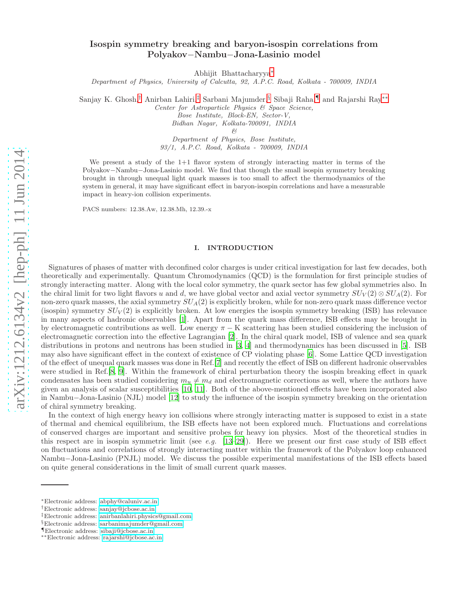# Isospin symmetry breaking and baryon-isospin correlations from Polyakov−Nambu−Jona-Lasinio model

Abhijit Bhattacharyya[∗](#page-0-0)

Department of Physics, University of Calcutta, 92, A.P.C. Road, Kolkata - 700009, INDIA

Sanjay K. Ghosh,[†](#page-0-1) Anirban Lahiri,[‡](#page-0-2) Sarbani Majumder,[§](#page-0-3) Sibaji Raha,[¶](#page-0-4) and Rajarshi Ray[∗∗](#page-0-5)

Center for Astroparticle Physics & Space Science,

Bose Institute, Block-EN, Sector-V, Bidhan Nagar, Kolkata-700091, INDIA

&

Department of Physics, Bose Institute, 93/1, A.P.C. Road, Kolkata - 700009, INDIA

We present a study of the 1+1 flavor system of strongly interacting matter in terms of the Polyakov−Nambu−Jona-Lasinio model. We find that though the small isospin symmetry breaking brought in through unequal light quark masses is too small to affect the thermodynamics of the system in general, it may have significant effect in baryon-isospin correlations and have a measurable impact in heavy-ion collision experiments.

PACS numbers: 12.38.Aw, 12.38.Mh, 12.39.-x

### I. INTRODUCTION

Signatures of phases of matter with deconfined color charges is under critical investigation for last few decades, both theoretically and experimentally. Quantum Chromodynamics (QCD) is the formulation for first principle studies of strongly interacting matter. Along with the local color symmetry, the quark sector has few global symmetries also. In the chiral limit for two light flavors u and d, we have global vector and axial vector symmetry  $SU_V(2) \otimes SU_A(2)$ . For non-zero quark masses, the axial symmetry  $SU_A(2)$  is explicitly broken, while for non-zero quark mass difference vector (isospin) symmetry  $SU_V(2)$  is explicitly broken. At low energies the isospin symmetry breaking (ISB) has relevance in many aspects of hadronic observables [\[1](#page-7-0)]. Apart from the quark mass difference, ISB effects may be brought in by electromagnetic contributions as well. Low energy  $\pi - K$  scattering has been studied considering the inclusion of electromagnetic correction into the effective Lagrangian [\[2\]](#page-7-1). In the chiral quark model, ISB of valence and sea quark distributions in protons and neutrons has been studied in [\[3,](#page-7-2) [4](#page-7-3)] and thermodynamics has been discussed in [\[5](#page-7-4)]. ISB may also have significant effect in the context of existence of CP violating phase [\[6\]](#page-7-5). Some Lattice QCD investigation of the effect of unequal quark masses was done in Ref.[\[7\]](#page-7-6) and recently the effect of ISB on different hadronic observables were studied in Ref.[\[8](#page-7-7), [9\]](#page-7-8). Within the framework of chiral perturbation theory the isospin breaking effect in quark condensates has been studied considering  $m_u \neq m_d$  and electromagnetic corrections as well, where the authors have given an analysis of scalar susceptibilities [\[10,](#page-7-9) [11\]](#page-7-10). Both of the above-mentioned effects have been incorporated also in Nambu−Jona-Lasinio (NJL) model [\[12](#page-7-11)] to study the influence of the isospin symmetry breaking on the orientation of chiral symmetry breaking.

In the context of high energy heavy ion collisions where strongly interacting matter is supposed to exist in a state of thermal and chemical equilibrium, the ISB effects have not been explored much. Fluctuations and correlations of conserved charges are important and sensitive probes for heavy ion physics. Most of the theoretical studies in this respect are in isospin symmetric limit (see e.g.  $[13–29]$  $[13–29]$ ). Here we present our first case study of ISB effect on fluctuations and correlations of strongly interacting matter within the framework of the Polyakov loop enhanced Nambu−Jona-Lasinio (PNJL) model. We discuss the possible experimental manifestations of the ISB effects based on quite general considerations in the limit of small current quark masses.

<span id="page-0-0"></span><sup>∗</sup>Electronic address: [abphy@caluniv.ac.in](mailto:abphy@caluniv.ac.in)

<span id="page-0-1"></span><sup>†</sup>Electronic address: [sanjay@jcbose.ac.in](mailto:sanjay@jcbose.ac.in)

<span id="page-0-2"></span><sup>‡</sup>Electronic address: [anirbanlahiri.physics@gmail.com](mailto:anirbanlahiri.physics@gmail.com)

<span id="page-0-3"></span><sup>§</sup>Electronic address: [sarbanimajumder@gmail.com](mailto:sarbanimajumder@gmail.com)

<span id="page-0-4"></span><sup>¶</sup>Electronic address: [sibaji@jcbose.ac.in](mailto:sibaji@jcbose.ac.in)

<span id="page-0-5"></span><sup>∗∗</sup>Electronic address: [rajarshi@jcbose.ac.in](mailto:rajarshi@jcbose.ac.in)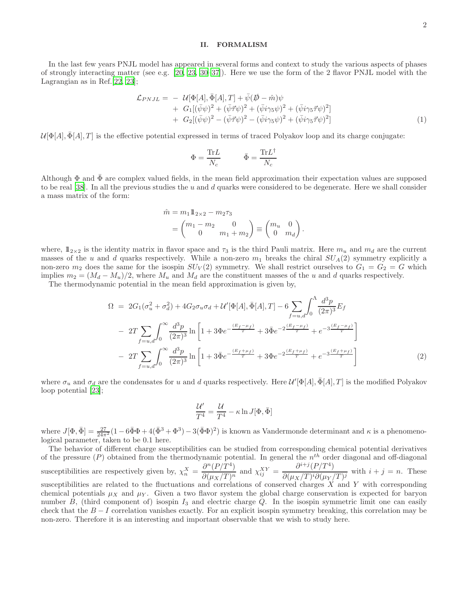# II. FORMALISM

In the last few years PNJL model has appeared in several forms and context to study the various aspects of phases of strongly interacting matter (see e.g. [\[20,](#page-8-2) [23,](#page-8-3) [30](#page-8-4)[–37\]](#page-8-5)). Here we use the form of the 2 flavor PNJL model with the Lagrangian as in Ref.[\[22](#page-8-6), [23\]](#page-8-3);

$$
\mathcal{L}_{PNJL} = -\mathcal{U}[\Phi[A], \bar{\Phi}[A], T] + \bar{\psi}(\mathcal{D} - \hat{m})\psi \n+ G_1[(\bar{\psi}\psi)^2 + (\bar{\psi}\vec{\tau}\psi)^2 + (\bar{\psi}i\gamma_5\psi)^2 + (\bar{\psi}i\gamma_5\vec{\tau}\psi)^2] \n+ G_2[(\bar{\psi}\psi)^2 - (\bar{\psi}\vec{\tau}\psi)^2 - (\bar{\psi}i\gamma_5\psi)^2 + (\bar{\psi}i\gamma_5\vec{\tau}\psi)^2]
$$
\n(1)

 $\mathcal{U}[\Phi[A], \Phi[A], T]$  is the effective potential expressed in terms of traced Polyakov loop and its charge conjugate:

$$
\Phi = \frac{\text{Tr}L}{N_c} \qquad \qquad \bar{\Phi} = \frac{\text{Tr}L^{\dagger}}{N_c}
$$

Although  $\Phi$  and  $\bar{\Phi}$  are complex valued fields, in the mean field approximation their expectation values are supposed to be real [\[38](#page-8-7)]. In all the previous studies the u and d quarks were considered to be degenerate. Here we shall consider a mass matrix of the form:

$$
\hat{m} = m_1 \mathbb{1}_{2 \times 2} - m_2 \tau_3 \n= \begin{pmatrix} m_1 - m_2 & 0 \\ 0 & m_1 + m_2 \end{pmatrix} \equiv \begin{pmatrix} m_u & 0 \\ 0 & m_d \end{pmatrix}.
$$

where,  $1_{2\times 2}$  is the identity matrix in flavor space and  $\tau_3$  is the third Pauli matrix. Here  $m_u$  and  $m_d$  are the current masses of the u and d quarks respectively. While a non-zero  $m_1$  breaks the chiral  $SU_A(2)$  symmetry explicitly a non-zero  $m_2$  does the same for the isospin  $SU_V(2)$  symmetry. We shall restrict ourselves to  $G_1 = G_2 = G$  which implies  $m_2 = (M_d - M_u)/2$ , where  $M_u$  and  $M_d$  are the constituent masses of the u and d quarks respectively.

The thermodynamic potential in the mean field approximation is given by,

$$
\Omega = 2G_1(\sigma_u^2 + \sigma_d^2) + 4G_2\sigma_u\sigma_d + \mathcal{U}'[\Phi[A], \bar{\Phi}[A], T] - 6\sum_{f=u,d} \int_0^{\Lambda} \frac{d^3p}{(2\pi)^3} E_f
$$
  
\n
$$
- 2T \sum_{f=u,d} \int_0^{\infty} \frac{d^3p}{(2\pi)^3} \ln\left[1 + 3\Phi e^{-\frac{(E_f - \mu_f)}{T}} + 3\bar{\Phi} e^{-2\frac{(E_f - \mu_f)}{T}} + e^{-3\frac{(E_f - \mu_f)}{T}}\right]
$$
  
\n
$$
- 2T \sum_{f=u,d} \int_0^{\infty} \frac{d^3p}{(2\pi)^3} \ln\left[1 + 3\bar{\Phi} e^{-\frac{(E_f + \mu_f)}{T}} + 3\Phi e^{-2\frac{(E_f + \mu_f)}{T}} + e^{-3\frac{(E_f + \mu_f)}{T}}\right]
$$
(2)

where  $\sigma_u$  and  $\sigma_d$  are the condensates for u and d quarks respectively. Here  $\mathcal{U}'[\Phi[A], \bar{\Phi}[A], T]$  is the modified Polyakov loop potential [\[23\]](#page-8-3);

$$
\frac{\mathcal{U}'}{T^4}=\frac{\mathcal{U}}{T^4}-\kappa\ln J[\Phi,\bar{\Phi}]
$$

where  $J[\Phi, \bar{\Phi}] = \frac{27}{24\pi^2} (1 - 6\bar{\Phi}\Phi + 4(\bar{\Phi}^3 + \Phi^3) - 3(\bar{\Phi}\Phi)^2)$  is known as Vandermonde determinant and  $\kappa$  is a phenomenological parameter, taken to be 0.1 here.

The behavior of different charge susceptibilities can be studied from corresponding chemical potential derivatives of the pressure  $(P)$  obtained from the thermodynamic potential. In general the  $n<sup>th</sup>$  order diagonal and off-diagonal susceptibilities are respectively given by,  $\chi_n^X = \frac{\partial^n (P/T^4)}{\partial (u \times T)^n}$  $\frac{\partial^n (P/T^4)}{\partial (\mu_X/T)^n}$  and  $\chi_{ij}^{XY} = \frac{\partial^{i+j} (P/T^4)}{\partial (\mu_X/T)^i \partial (\mu_Y/T)^i}$  $\frac{\partial^2 (u \cdot \vec{r})}{\partial (u \cdot \vec{r})^i \partial (u \cdot \vec{r})^j}$  with  $i + j = n$ . These susceptibilities are related to the fluctuations and correlations of conserved charges  $X$  and  $Y$  with corresponding chemical potentials  $\mu_X$  and  $\mu_Y$ . Given a two flavor system the global charge conservation is expected for baryon number  $B$ , (third component of) isospin  $I_3$  and electric charge  $Q$ . In the isospin symmetric limit one can easily check that the  $B-I$  correlation vanishes exactly. For an explicit isospin symmetry breaking, this correlation may be non-zero. Therefore it is an interesting and important observable that we wish to study here.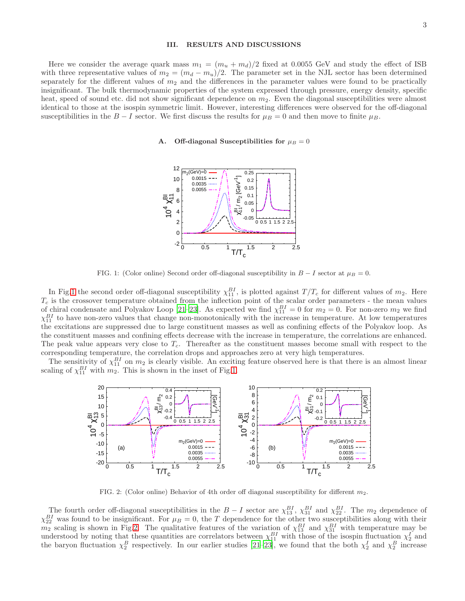## III. RESULTS AND DISCUSSIONS

Here we consider the average quark mass  $m_1 = (m_u + m_d)/2$  fixed at 0.0055 GeV and study the effect of ISB with three representative values of  $m_2 = (m_d - m_u)/2$ . The parameter set in the NJL sector has been determined separately for the different values of  $m<sub>2</sub>$  and the differences in the parameter values were found to be practically insignificant. The bulk thermodynamic properties of the system expressed through pressure, energy density, specific heat, speed of sound etc. did not show significant dependence on  $m<sub>2</sub>$ . Even the diagonal susceptibilities were almost identical to those at the isospin symmetric limit. However, interesting differences were observed for the off-diagonal susceptibilities in the B – I sector. We first discuss the results for  $\mu_B = 0$  and then move to finite  $\mu_B$ .

## A. Off-diagonal Susceptibilities for  $\mu_B = 0$



<span id="page-2-0"></span>FIG. 1: (Color online) Second order off-diagonal susceptibility in  $B - I$  sector at  $\mu_B = 0$ .

In Fig[.1](#page-2-0) the second order off-diagonal susceptibility  $\chi_{11}^{BI}$ , is plotted against  $T/T_c$  for different values of  $m_2$ . Here  $T_c$  is the crossover temperature obtained from the inflection point of the scalar order parameters - the mean values of chiral condensate and Polyakov Loop [\[21](#page-8-8)[–23\]](#page-8-3). As expected we find  $\chi_{11}^{BI} = 0$  for  $m_2 = 0$ . For non-zero  $m_2$  we find  $\chi_{11}^{BI}$  to have non-zero values that change non-monotonically with the increase in temperature. At low temperatures the excitations are suppressed due to large constituent masses as well as confining effects of the Polyakov loop. As the constituent masses and confining effects decrease with the increase in temperature, the correlations are enhanced. The peak value appears very close to  $T_c$ . Thereafter as the constituent masses become small with respect to the corresponding temperature, the correlation drops and approaches zero at very high temperatures.

The sensitivity of  $\chi_{11}^{BI}$  on  $m_2$  is clearly visible. An exciting feature observed here is that there is an almost linear scaling of  $\chi_{11}^{BI}$  with  $m_2$ . This is shown in the inset of Fig[.1.](#page-2-0)



<span id="page-2-1"></span>FIG. 2: (Color online) Behavior of 4th order off diagonal susceptibility for different  $m_2$ .

The fourth order off-diagonal susceptibilities in the  $B - I$  sector are  $\chi_{13}^{BI}$ ,  $\chi_{31}^{BI}$  and  $\chi_{22}^{BI}$ . The  $m_2$  dependence of  $\chi_{22}^{BI}$  was found to be insignificant. For  $\mu_B = 0$ , the T dependence for the other two susceptibilities along with their  $m_2$  scaling is shown in Fig[.2.](#page-2-1) The qualitative features of the variation of  $\chi_{13}^{BI}$  and  $\chi_{31}^{BI}$  with temperature may be understood by noting that these quantities are correlators between  $\chi_{11}^{BI}$  with those of the isospin fluctuation  $\chi_2^I$  and the baryon fluctuation  $\chi_2^B$  respectively. In our earlier studies [\[21](#page-8-8)[–23\]](#page-8-3), we found that the both  $\chi_2^I$  and  $\chi_2^B$  increase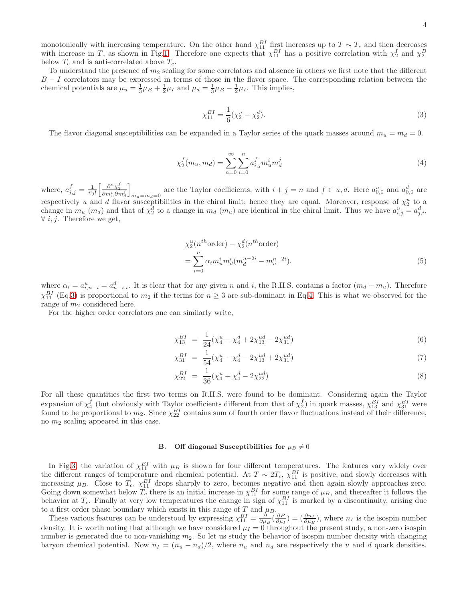monotonically with increasing temperature. On the other hand  $\chi_{11}^{BI}$  first increases up to  $T \sim T_c$  and then decreases with increase in T, as shown in Fig[.1.](#page-2-0) Therefore one expects that  $\chi_{11}^{BI}$  has a positive correlation with  $\chi_2^I$  and  $\chi_2^B$ below  $T_c$  and is anti-correlated above  $T_c$ .

To understand the presence of  $m_2$  scaling for some correlators and absence in others we first note that the different  $B - I$  correlators may be expressed in terms of those in the flavor space. The corresponding relation between the chemical potentials are  $\mu_u = \frac{1}{3}\mu_B + \frac{1}{2}\mu_I$  and  $\mu_d = \frac{1}{3}\mu_B - \frac{1}{2}\mu_I$ . This implies,

<span id="page-3-0"></span>
$$
\chi_{11}^{BI} = \frac{1}{6}(\chi_2^u - \chi_2^d). \tag{3}
$$

The flavor diagonal susceptibilities can be expanded in a Taylor series of the quark masses around  $m_u = m_d = 0$ .

<span id="page-3-1"></span>
$$
\chi_2^f(m_u, m_d) = \sum_{n=0}^{\infty} \sum_{i=0}^n a_{i,j}^f m_u^i m_d^j
$$
\n(4)

where,  $a_{i,j}^f = \frac{1}{i!j!} \left[ \frac{\partial^n \chi_2^f}{\partial m_u^i \partial m_d^j} \right]$ i  $m_u = m_d = 0$  are the Taylor coefficients, with  $i + j = n$  and  $f \in u, d$ . Here  $a_{0,0}^u$  and  $a_{0,0}^d$  are respectively u and d flavor susceptibilities in the chiral limit; hence they are equal. Moreover, response of  $\chi_2^u$  to a change in  $m_u$  ( $m_d$ ) and that of  $\chi_2^d$  to a change in  $m_d$  ( $m_u$ ) are identical in the chiral limit. Thus we have  $a_{i,j}^u = a_{j,i}^d$ ,  $\forall i, j$ . Therefore we get,

$$
\chi_2^u(n^{th}\text{order}) - \chi_2^d(n^{th}\text{order})
$$
  
= 
$$
\sum_{i=0}^n \alpha_i m_u^i m_d^i (m_d^{n-2i} - m_u^{n-2i}).
$$
 (5)

where  $\alpha_i = a_{i,n-i}^u = a_{n-i,i}^d$ . It is clear that for any given n and i, the R.H.S. contains a factor  $(m_d - m_u)$ . Therefore  $\chi_{11}^{BI}$  (Eq[.3\)](#page-3-0) is proportional to  $m_2$  if the terms for  $n \geq 3$  are sub-dominant in Eq[.4.](#page-3-1) This is what we observed for the range of  $m_2$  considered here.

For the higher order correlators one can similarly write,

$$
\chi_{13}^{BI} = \frac{1}{24}(\chi_4^u - \chi_4^d + 2\chi_{13}^{ud} - 2\chi_{31}^{ud})
$$
\n(6)

$$
\chi_{31}^{BI} = \frac{1}{54}(\chi_4^u - \chi_4^d - 2\chi_{13}^{ud} + 2\chi_{31}^{ud})
$$
\n(7)

$$
\chi_{22}^{BI} = \frac{1}{36}(\chi_4^u + \chi_4^d - 2\chi_{22}^{ud})
$$
\n(8)

For all these quantities the first two terms on R.H.S. were found to be dominant. Considering again the Taylor expansion of  $\chi_4^f$  (but obviously with Taylor coefficients different from that of  $\chi_2^f$ ) in quark masses,  $\chi_{13}^{BI}$  and  $\chi_{31}^{BI}$  were found to be proportional to  $m_2$ . Since  $\chi_{22}^{BI}$  contains sum of fourth order flavor fluctuations instead of their difference, no  $m_2$  scaling appeared in this case.

# B. Off diagonal Susceptibilities for  $\mu_B \neq 0$

In Fig[.3,](#page-4-0) the variation of  $\chi_{11}^{BI}$  with  $\mu_B$  is shown for four different temperatures. The features vary widely over the different ranges of temperature and chemical potential. At  $T \sim 2T_c$ ,  $\chi_{11}^{BI}$  is positive, and slowly decreases with increasing  $\mu_B$ . Close to  $T_c$ ,  $\chi_{11}^{BI}$  drops sharply to zero, becomes negative and then again slowly approaches zero. Going down somewhat below  $T_c$  there is an initial increase in  $\chi_{11}^{BI}$  for some range of  $\mu_B$ , and thereafter it follows the behavior at  $T_c$ . Finally at very low temperatures the change in sign of  $\chi_{11}^{BI}$  is marked by a discontinuity, arising due to a first order phase boundary which exists in this range of T and  $\mu_B$ .

These various features can be understood by expressing  $\chi_{11}^{BI} = \frac{\partial}{\partial \mu_B} \left( \frac{\partial P}{\partial \mu_I} \right) = \left( \frac{\partial n_I}{\partial \mu_B} \right)$ , where  $n_I$  is the isospin number density. It is worth noting that although we have considered  $\mu_I = 0$  throughout the present study, a non-zero isospin number is generated due to non-vanishing  $m_2$ . So let us study the behavior of isospin number density with changing baryon chemical potential. Now  $n_I = (n_u - n_d)/2$ , where  $n_u$  and  $n_d$  are respectively the u and d quark densities.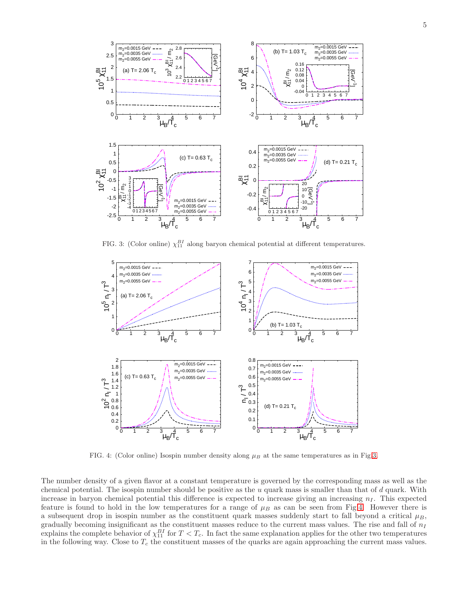

<span id="page-4-0"></span>FIG. 3: (Color online)  $\chi_{11}^{BI}$  along baryon chemical potential at different temperatures.



<span id="page-4-1"></span>FIG. 4: (Color online) Isospin number density along  $\mu_B$  at the same temperatures as in Fig[.3.](#page-4-0)

The number density of a given flavor at a constant temperature is governed by the corresponding mass as well as the chemical potential. The isospin number should be positive as the u quark mass is smaller than that of d quark. With increase in baryon chemical potential this difference is expected to increase giving an increasing  $n<sub>I</sub>$ . This expected feature is found to hold in the low temperatures for a range of  $\mu_B$  as can be seen from Fig[.4.](#page-4-1) However there is a subsequent drop in isospin number as the constituent quark masses suddenly start to fall beyond a critical  $\mu_B$ , gradually becoming insignificant as the constituent masses reduce to the current mass values. The rise and fall of  $n_I$ explains the complete behavior of  $\chi_{11}^{BI}$  for  $T < T_c$ . In fact the same explanation applies for the other two temperatures in the following way. Close to  $T_c$  the constituent masses of the quarks are again approaching the current mass values.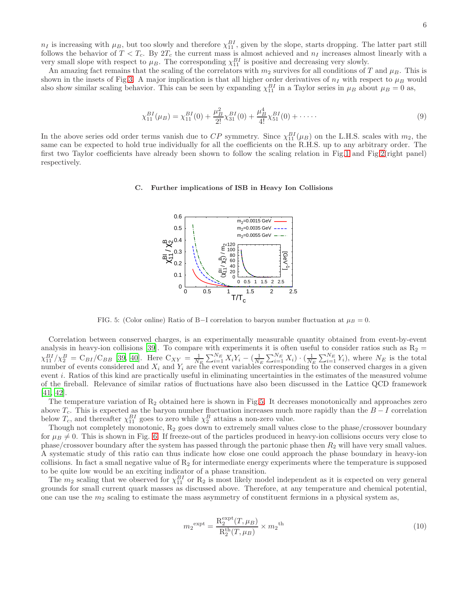$n_I$  is increasing with  $\mu_B$ , but too slowly and therefore  $\chi_{11}^{BI}$ , given by the slope, starts dropping. The latter part still follows the behavior of  $T < T_c$ . By  $2T_c$  the current mass is almost achieved and  $n_I$  increases almost linearly with a very small slope with respect to  $\mu_B$ . The corresponding  $\chi_{11}^{BI}$  is positive and decreasing very slowly.

An amazing fact remains that the scaling of the correlators with  $m_2$  survives for all conditions of T and  $\mu_B$ . This is shown in the insets of Fig[.3.](#page-4-0) A major implication is that all higher order derivatives of  $n_I$  with respect to  $\mu_B$  would also show similar scaling behavior. This can be seen by expanding  $\chi_{11}^{BI}$  in a Taylor series in  $\mu_B$  about  $\mu_B = 0$  as,

$$
\chi_{11}^{BI}(\mu_B) = \chi_{11}^{BI}(0) + \frac{\mu_B^2}{2!} \chi_{31}^{BI}(0) + \frac{\mu_B^4}{4!} \chi_{51}^{BI}(0) + \cdots
$$
\n(9)

In the above series odd order terms vanish due to  $CP$  symmetry. Since  $\chi_{11}^{BI}(\mu_B)$  on the L.H.S. scales with  $m_2$ , the same can be expected to hold true individually for all the coefficients on the R.H.S. up to any arbitrary order. The first two Taylor coefficients have already been shown to follow the scaling relation in Fig[.1](#page-2-0) and Fig[.2\(](#page-2-1)right panel) respectively.

## C. Further implications of ISB in Heavy Ion Collisions



<span id="page-5-0"></span>FIG. 5: (Color online) Ratio of B–I correlation to baryon number fluctuation at  $\mu_B = 0$ .

Correlation between conserved charges, is an experimentally measurable quantity obtained from event-by-event analysis in heavy-ion collisions [\[39](#page-8-9)]. To compare with experiments it is often useful to consider ratios such as  $R_2 =$  $\chi_{11}^{BI}/\chi_2^B = C_{BI}/C_{BB}$  [\[39](#page-8-9), [40\]](#page-8-10). Here  $C_{XY} = \frac{1}{N_E} \sum_{i=1}^{N_E} X_i Y_i - (\frac{1}{N_E} \sum_{i=1}^{N_E} X_i) \cdot (\frac{1}{N_E} \sum_{i=1}^{N_E} Y_i)$ , where  $N_E$  is the total number of events considered and  $X_i$  and  $Y_i$  are the event variables corresponding to the conserved charges in a given event i. Ratios of this kind are practically useful in eliminating uncertainties in the estimates of the measured volume of the fireball. Relevance of similar ratios of fluctuations have also been discussed in the Lattice QCD framework [\[41,](#page-8-11) [42\]](#page-8-12).

The temperature variation of  $R_2$  obtained here is shown in Fig[.5.](#page-5-0) It decreases monotonically and approaches zero above  $T_c$ . This is expected as the baryon number fluctuation increases much more rapidly than the  $B-I$  correlation below  $T_c$ , and thereafter  $\chi_{11}^{BI}$  goes to zero while  $\chi_2^B$  attains a non-zero value.

Though not completely monotonic,  $R_2$  goes down to extremely small values close to the phase/crossover boundary for  $\mu_B \neq 0$ . This is shown in Fig. [6.](#page-6-0) If freeze-out of the particles produced in heavy-ion collisions occurs very close to phase/crossover boundary after the system has passed through the partonic phase then  $R_2$  will have very small values. A systematic study of this ratio can thus indicate how close one could approach the phase boundary in heavy-ion collisions. In fact a small negative value of  $R_2$  for intermediate energy experiments where the temperature is supposed to be quite low would be an exciting indicator of a phase transition.

The  $m_2$  scaling that we observed for  $\chi_{11}^{BI}$  or  $R_2$  is most likely model independent as it is expected on very general grounds for small current quark masses as discussed above. Therefore, at any temperature and chemical potential, one can use the  $m_2$  scaling to estimate the mass asymmetry of constituent fermions in a physical system as,

$$
m_2^{\text{expt}} = \frac{\mathrm{R}_2^{\text{expt}}(T, \mu_B)}{\mathrm{R}_2^{\text{th}}(T, \mu_B)} \times m_2^{\text{th}}
$$
(10)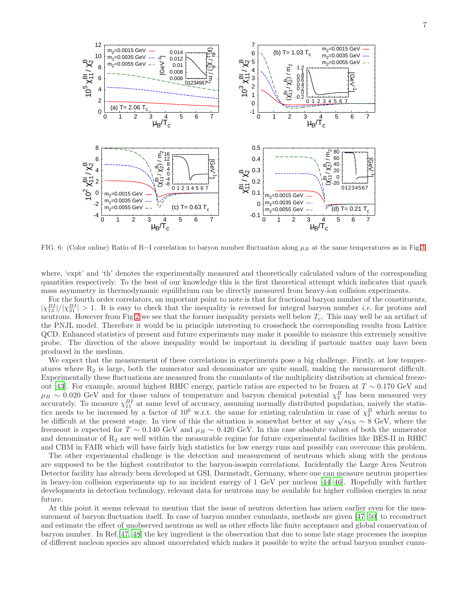

<span id="page-6-0"></span>FIG. 6: (Color online) Ratio of B–I correlation to baryon number fluctuation along  $\mu_B$  at the same temperatures as in Fig[.3.](#page-4-0)

where, 'expt' and 'th' denotes the experimentally measured and theoretically calculated values of the corresponding quantities respectively. To the best of our knowledge this is the first theoretical attempt which indicates that quark mass asymmetry in thermodynamic equilibrium can be directly measured from heavy-ion collision experiments.

For the fourth order correlators, an important point to note is that for fractional baryon number of the constituents,  $|\chi_{13}^{BI}|/|\chi_{31}^{BI}| > 1$ . It is easy to check that the inequality is reversed for integral baryon number *i.e.* for protons and neutrons. However from Fig[.2](#page-2-1) we see that the former inequality persists well below  $T_c$ . This may well be an artifact of the PNJL model. Therefore it would be in principle interesting to crosscheck the corresponding results from Lattice QCD. Enhanced statistics of present and future experiments may make it possible to measure this extremely sensitive probe. The direction of the above inequality would be important in deciding if partonic matter may have been produced in the medium.

We expect that the measurement of these correlations in experiments pose a big challenge. Firstly, at low temperatures where  $R_2$  is large, both the numerator and denominator are quite small, making the measurement difficult. Experimentally these fluctuations are measured from the cumulants of the multiplicity distribution at chemical freezeout [\[43\]](#page-8-13). For example, around highest RHIC energy, particle ratios are expected to be frozen at T ∼ 0.170 GeV and  $\mu_B \sim 0.020 \text{ GeV}$  and for those values of temperature and baryon chemical potential  $\chi_2^B$  has been measured very accurately. To measure  $\chi_{11}^{BI}$  at same level of accuracy, assuming normally distributed population, naively the statistics needs to be increased by a factor of  $10^6$  w.r.t. the same for existing calculation in case of  $\chi_2^B$  which seems to be difficult at the present stage. In view of this the situation is somewhat better at say  $\sqrt{s_{NN}} \sim 8$  GeV, where the freezeout is expected for  $T \sim 0.140$  GeV and  $\mu_B \sim 0.420$  GeV. In this case absolute values of both the numerator and denominator of  $R_2$  are well within the measurable regime for future experimental facilities like BES-II in RHIC and CBM in FAIR which will have fairly high statistics for low energy runs and possibly can overcome this problem.

The other experimental challenge is the detection and measurement of neutrons which along with the protons are supposed to be the highest contributor to the baryon-isospin correlations. Incidentally the Large Area Neutron Detector facility has already been developed at GSI, Darmstadt, Germany, where one can measure neutron properties in heavy-ion collision experiments up to an incident energy of 1 GeV per nucleon [\[44](#page-8-14)[–46\]](#page-8-15). Hopefully with further developments in detection technology, relevant data for neutrons may be available for higher collision energies in near future.

At this point it seems relevant to mention that the issue of neutron detection has arisen earlier even for the measurement of baryon fluctuation itself. In case of baryon number cumulants, methods are given [\[47](#page-8-16)[–50\]](#page-8-17) to reconstruct and estimate the effect of unobserved neutrons as well as other effects like finite acceptance and global conservation of baryon number. In Ref.[\[47](#page-8-16), [48\]](#page-8-18) the key ingredient is the observation that due to some late stage processes the isospins of different nucleon species are almost uncorrelated which makes it possible to write the actual baryon number cumu-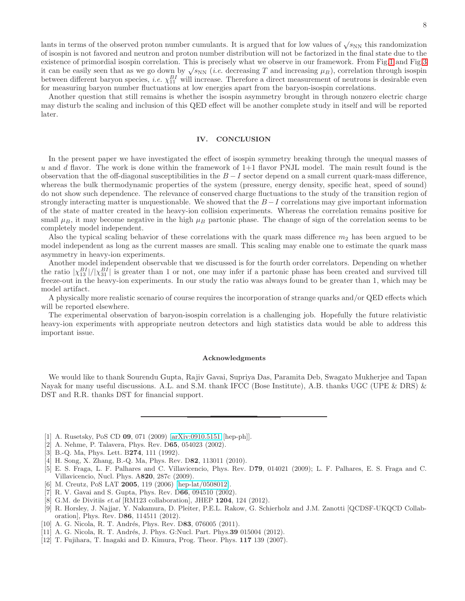lants in terms of the observed proton number cumulants. It is argued that for low values of  $\sqrt{s_{NN}}$  this randomization of isospin is not favored and neutron and proton number distribution will not be factorized in the final state due to the existence of primordial isospin correlation. This is precisely what we observe in our framework. From Fig[.1](#page-2-0) and Fig[.3](#page-4-0) it can be easily seen that as we go down by  $\sqrt{s_{NN}}$  (*i.e.* decreasing T and increasing  $\mu_B$ ), correlation through isospin between different baryon species, *i.e.*  $\chi_{11}^{BI}$  will increase. Therefore a direct measurement of neutrons is desirable even for measuring baryon number fluctuations at low energies apart from the baryon-isospin correlations.

Another question that still remains is whether the isospin asymmetry brought in through nonzero electric charge may disturb the scaling and inclusion of this QED effect will be another complete study in itself and will be reported later.

#### IV. CONCLUSION

In the present paper we have investigated the effect of isospin symmetry breaking through the unequal masses of  $u$  and  $d$  flavor. The work is done within the framework of  $1+1$  flavor PNJL model. The main result found is the observation that the off-diagonal susceptibilities in the  $B-I$  sector depend on a small current quark-mass difference, whereas the bulk thermodynamic properties of the system (pressure, energy density, specific heat, speed of sound) do not show such dependence. The relevance of conserved charge fluctuations to the study of the transition region of strongly interacting matter is unquestionable. We showed that the  $B-I$  correlations may give important information of the state of matter created in the heavy-ion collision experiments. Whereas the correlation remains positive for small  $\mu_B$ , it may become negative in the high  $\mu_B$  partonic phase. The change of sign of the correlation seems to be completely model independent.

Also the typical scaling behavior of these correlations with the quark mass difference  $m_2$  has been argued to be model independent as long as the current masses are small. This scaling may enable one to estimate the quark mass asymmetry in heavy-ion experiments.

Another model independent observable that we discussed is for the fourth order correlators. Depending on whether the ratio  $|\chi_{13}^{BI}|/|\chi_{31}^{BI}|$  is greater than 1 or not, one may infer if a partonic phase has been created and survived till freeze-out in the heavy-ion experiments. In our study the ratio was always found to be greater than 1, which may be model artifact.

A physically more realistic scenario of course requires the incorporation of strange quarks and/or QED effects which will be reported elsewhere.

The experimental observation of baryon-isospin correlation is a challenging job. Hopefully the future relativistic heavy-ion experiments with appropriate neutron detectors and high statistics data would be able to address this important issue.

### Acknowledgments

We would like to thank Sourendu Gupta, Rajiv Gavai, Supriya Das, Paramita Deb, Swagato Mukherjee and Tapan Nayak for many useful discussions. A.L. and S.M. thank IFCC (Bose Institute), A.B. thanks UGC (UPE & DRS) & DST and R.R. thanks DST for financial support.

- <span id="page-7-0"></span>[1] A. Rusetsky, PoS CD 09, 071 (2009) [\[arXiv:0910.5151](http://arxiv.org/abs/0910.5151) [hep-ph]].
- <span id="page-7-1"></span>[2] A. Nehme, P. Talavera, Phys. Rev. D65, 054023 (2002).
- <span id="page-7-2"></span>[3] B.-Q. Ma, Phys. Lett. B274, 111 (1992).
- <span id="page-7-3"></span>[4] H. Song, X. Zhang, B.-Q. Ma, Phys. Rev. D82, 113011 (2010).
- <span id="page-7-4"></span>[5] E. S. Fraga, L. F. Palhares and C. Villavicencio, Phys. Rev. D79, 014021 (2009); L. F. Palhares, E. S. Fraga and C. Villavicencio, Nucl. Phys. A820, 287c (2009).
- <span id="page-7-5"></span>[6] M. Creutz, PoS LAT 2005, 119 (2006) [\[hep-lat/0508012\]](http://arxiv.org/abs/hep-lat/0508012).
- <span id="page-7-6"></span>[7] R. V. Gavai and S. Gupta, Phys. Rev. D66, 094510 (2002).
- <span id="page-7-7"></span>[8] G.M. de Divitiis et.al [RM123 collaboration], JHEP 1204, 124 (2012).
- <span id="page-7-8"></span>[9] R. Horsley, J. Najjar, Y. Nakamura, D. Pleiter, P.E.L. Rakow, G. Schierholz and J.M. Zanotti [QCDSF-UKQCD Collaboration], Phys. Rev. D86, 114511 (2012).
- <span id="page-7-9"></span>[10] A. G. Nicola, R. T. Andrés, Phys. Rev. D83, 076005 (2011).
- <span id="page-7-10"></span>[11] A. G. Nicola, R. T. Andrés, J. Phys. G:Nucl. Part. Phys. 39 015004 (2012).
- <span id="page-7-11"></span>[12] T. Fujihara, T. Inagaki and D. Kimura, Prog. Theor. Phys. 117 139 (2007).